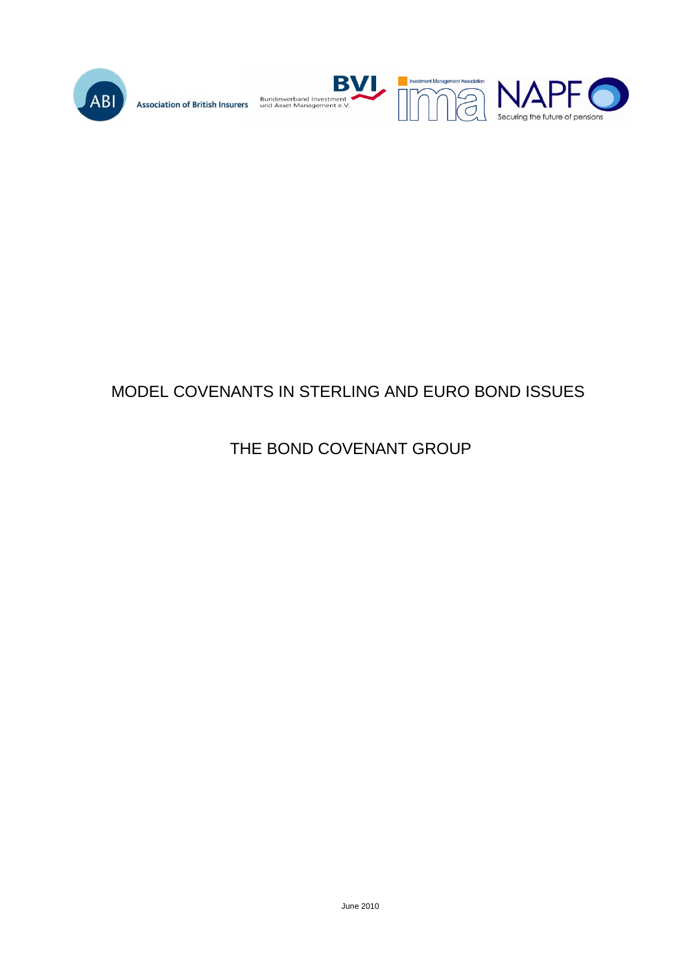

Bundesverband Investment<br>und Asset Management e.V. **Association of British Insurers** 





# MODEL COVENANTS IN STERLING AND EURO BOND ISSUES

# THE BOND COVENANT GROUP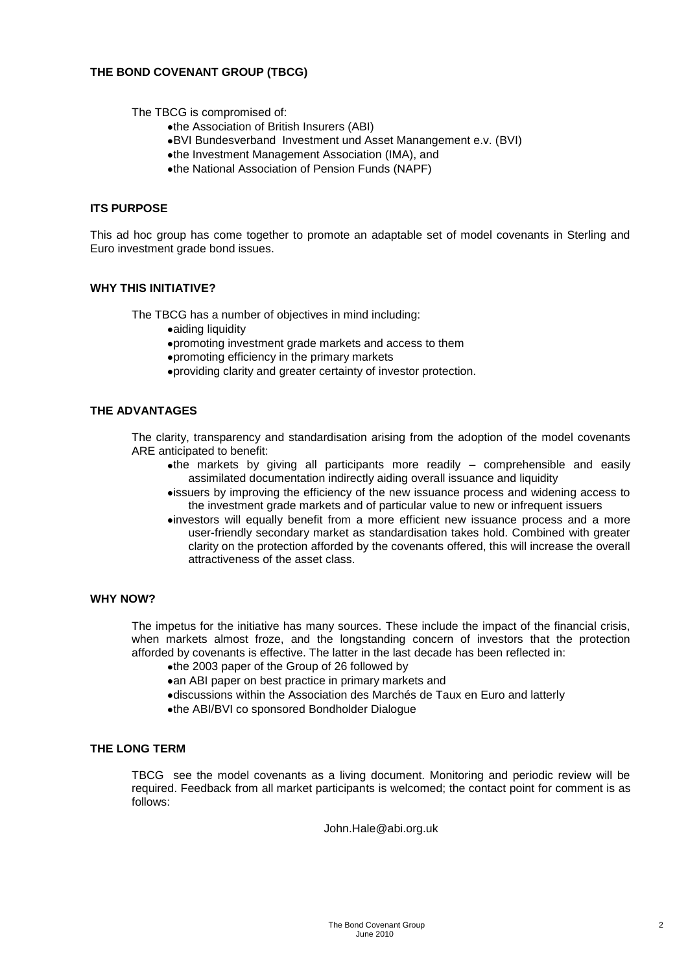#### **THE BOND COVENANT GROUP (TBCG)**

The TBCG is compromised of:

- the Association of British Insurers (ABI)
- BVI Bundesverband Investment und Asset Manangement e.v. (BVI)
- the Investment Management Association (IMA), and
- the National Association of Pension Funds (NAPF)

#### **ITS PURPOSE**

This ad hoc group has come together to promote an adaptable set of model covenants in Sterling and Euro investment grade bond issues.

#### **WHY THIS INITIATIVE?**

The TBCG has a number of objectives in mind including:

- aiding liquidity
- promoting investment grade markets and access to them
- promoting efficiency in the primary markets
- providing clarity and greater certainty of investor protection.

#### **THE ADVANTAGES**

The clarity, transparency and standardisation arising from the adoption of the model covenants ARE anticipated to benefit:

- $\bullet$ the markets by giving all participants more readily comprehensible and easily assimilated documentation indirectly aiding overall issuance and liquidity
- issuers by improving the efficiency of the new issuance process and widening access to the investment grade markets and of particular value to new or infrequent issuers
- investors will equally benefit from a more efficient new issuance process and a more user-friendly secondary market as standardisation takes hold. Combined with greater clarity on the protection afforded by the covenants offered, this will increase the overall attractiveness of the asset class.

#### **WHY NOW?**

The impetus for the initiative has many sources. These include the impact of the financial crisis, when markets almost froze, and the longstanding concern of investors that the protection afforded by covenants is effective. The latter in the last decade has been reflected in:

- the 2003 paper of the Group of 26 followed by
- an ABI paper on best practice in primary markets and
- discussions within the Association des Marchés de Taux en Euro and latterly
- the ABI/BVI co sponsored Bondholder Dialogue

#### **THE LONG TERM**

TBCG see the model covenants as a living document. Monitoring and periodic review will be required. Feedback from all market participants is welcomed; the contact point for comment is as follows:

John.Hale@abi.org.uk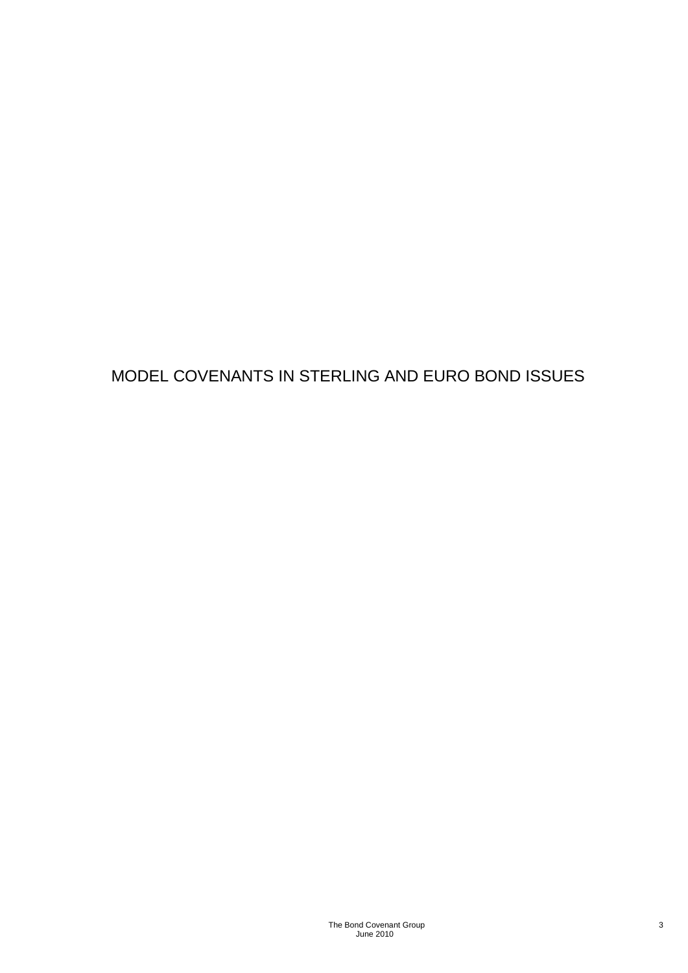# MODEL COVENANTS IN STERLING AND EURO BOND ISSUES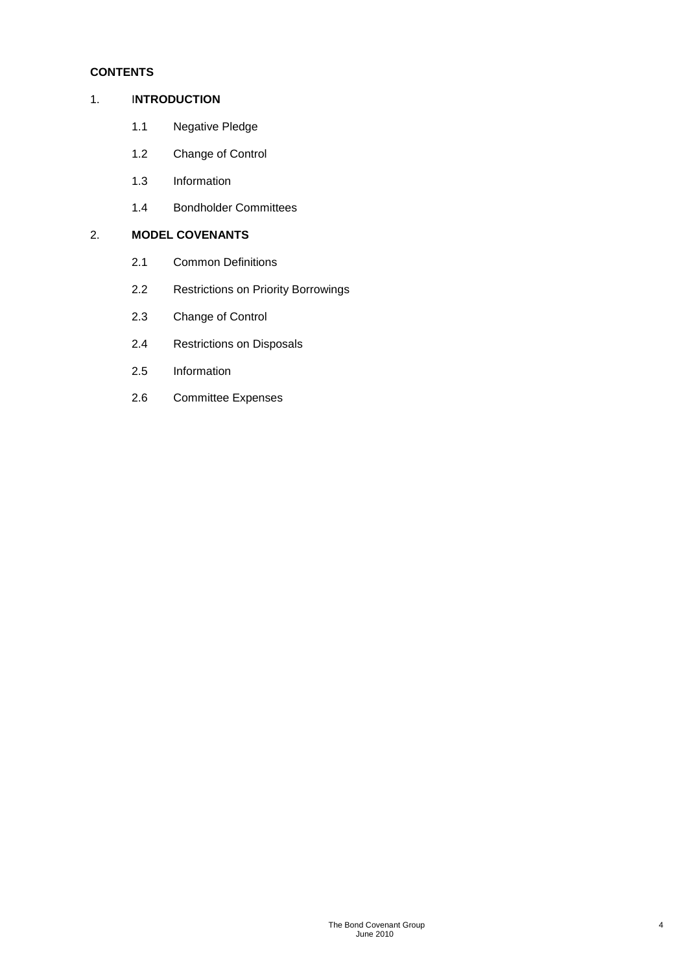## **CONTENTS**

### 1. I**NTRODUCTION**

- 1.1 Negative Pledge
- 1.2 Change of Control
- 1.3 Information
- 1.4 Bondholder Committees

## 2. **MODEL COVENANTS**

- 2.1 Common Definitions
- 2.2 Restrictions on Priority Borrowings
- 2.3 Change of Control
- 2.4 Restrictions on Disposals
- 2.5 Information
- 2.6 Committee Expenses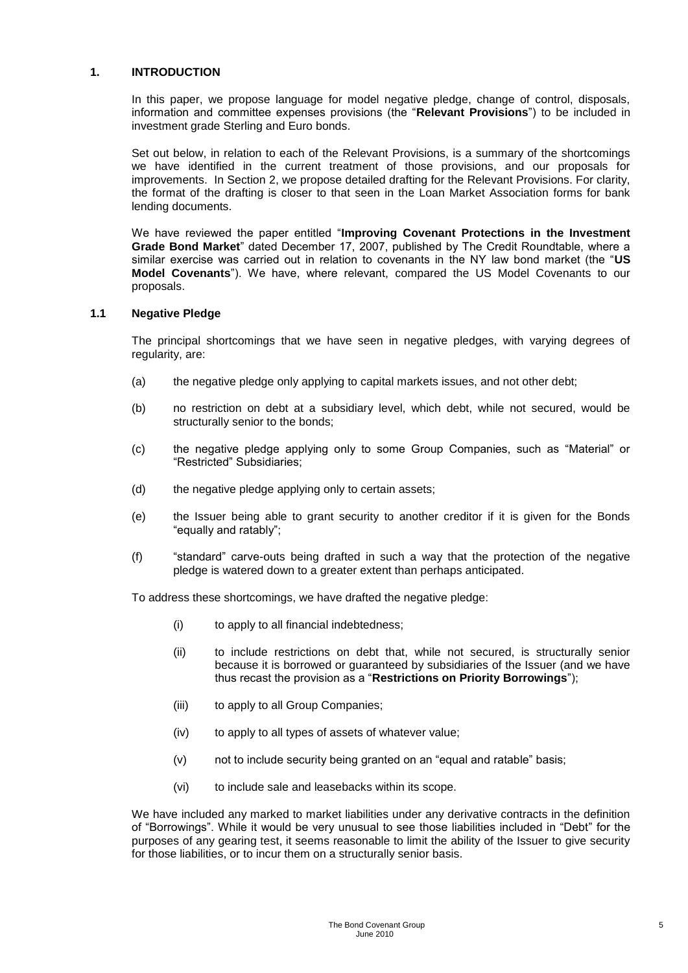#### **1. INTRODUCTION**

In this paper, we propose language for model negative pledge, change of control, disposals, information and committee expenses provisions (the "**Relevant Provisions**") to be included in investment grade Sterling and Euro bonds.

Set out below, in relation to each of the Relevant Provisions, is a summary of the shortcomings we have identified in the current treatment of those provisions, and our proposals for improvements. In Section 2, we propose detailed drafting for the Relevant Provisions. For clarity, the format of the drafting is closer to that seen in the Loan Market Association forms for bank lending documents.

We have reviewed the paper entitled "**Improving Covenant Protections in the Investment Grade Bond Market**" dated December 17, 2007, published by The Credit Roundtable, where a similar exercise was carried out in relation to covenants in the NY law bond market (the "**US Model Covenants**"). We have, where relevant, compared the US Model Covenants to our proposals.

#### **1.1 Negative Pledge**

The principal shortcomings that we have seen in negative pledges, with varying degrees of regularity, are:

- (a) the negative pledge only applying to capital markets issues, and not other debt;
- (b) no restriction on debt at a subsidiary level, which debt, while not secured, would be structurally senior to the bonds;
- (c) the negative pledge applying only to some Group Companies, such as "Material" or "Restricted" Subsidiaries;
- (d) the negative pledge applying only to certain assets;
- (e) the Issuer being able to grant security to another creditor if it is given for the Bonds "equally and ratably";
- (f) "standard" carve-outs being drafted in such a way that the protection of the negative pledge is watered down to a greater extent than perhaps anticipated.

To address these shortcomings, we have drafted the negative pledge:

- (i) to apply to all financial indebtedness;
- (ii) to include restrictions on debt that, while not secured, is structurally senior because it is borrowed or guaranteed by subsidiaries of the Issuer (and we have thus recast the provision as a "**Restrictions on Priority Borrowings**");
- (iii) to apply to all Group Companies;
- (iv) to apply to all types of assets of whatever value;
- (v) not to include security being granted on an "equal and ratable" basis;
- (vi) to include sale and leasebacks within its scope.

We have included any marked to market liabilities under any derivative contracts in the definition of "Borrowings". While it would be very unusual to see those liabilities included in "Debt" for the purposes of any gearing test, it seems reasonable to limit the ability of the Issuer to give security for those liabilities, or to incur them on a structurally senior basis.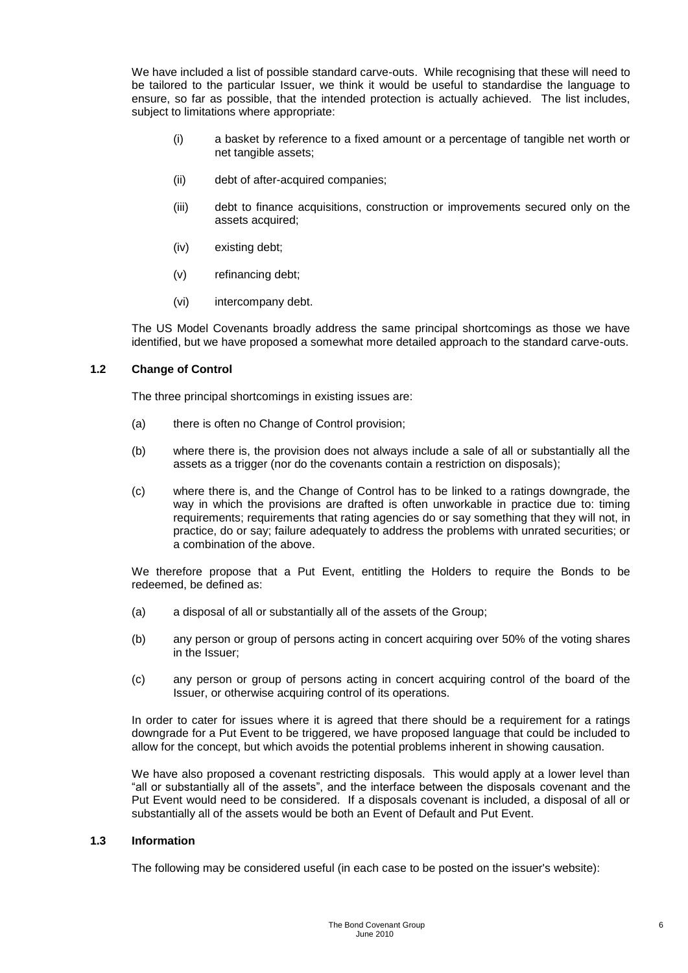We have included a list of possible standard carve-outs. While recognising that these will need to be tailored to the particular Issuer, we think it would be useful to standardise the language to ensure, so far as possible, that the intended protection is actually achieved. The list includes, subject to limitations where appropriate:

- (i) a basket by reference to a fixed amount or a percentage of tangible net worth or net tangible assets;
- (ii) debt of after-acquired companies;
- (iii) debt to finance acquisitions, construction or improvements secured only on the assets acquired;
- (iv) existing debt;
- (v) refinancing debt;
- (vi) intercompany debt.

The US Model Covenants broadly address the same principal shortcomings as those we have identified, but we have proposed a somewhat more detailed approach to the standard carve-outs.

#### **1.2 Change of Control**

The three principal shortcomings in existing issues are:

- (a) there is often no Change of Control provision;
- (b) where there is, the provision does not always include a sale of all or substantially all the assets as a trigger (nor do the covenants contain a restriction on disposals);
- (c) where there is, and the Change of Control has to be linked to a ratings downgrade, the way in which the provisions are drafted is often unworkable in practice due to: timing requirements; requirements that rating agencies do or say something that they will not, in practice, do or say; failure adequately to address the problems with unrated securities; or a combination of the above.

We therefore propose that a Put Event, entitling the Holders to require the Bonds to be redeemed, be defined as:

- (a) a disposal of all or substantially all of the assets of the Group;
- (b) any person or group of persons acting in concert acquiring over 50% of the voting shares in the Issuer;
- (c) any person or group of persons acting in concert acquiring control of the board of the Issuer, or otherwise acquiring control of its operations.

In order to cater for issues where it is agreed that there should be a requirement for a ratings downgrade for a Put Event to be triggered, we have proposed language that could be included to allow for the concept, but which avoids the potential problems inherent in showing causation.

We have also proposed a covenant restricting disposals. This would apply at a lower level than "all or substantially all of the assets", and the interface between the disposals covenant and the Put Event would need to be considered. If a disposals covenant is included, a disposal of all or substantially all of the assets would be both an Event of Default and Put Event.

#### **1.3 Information**

The following may be considered useful (in each case to be posted on the issuer's website):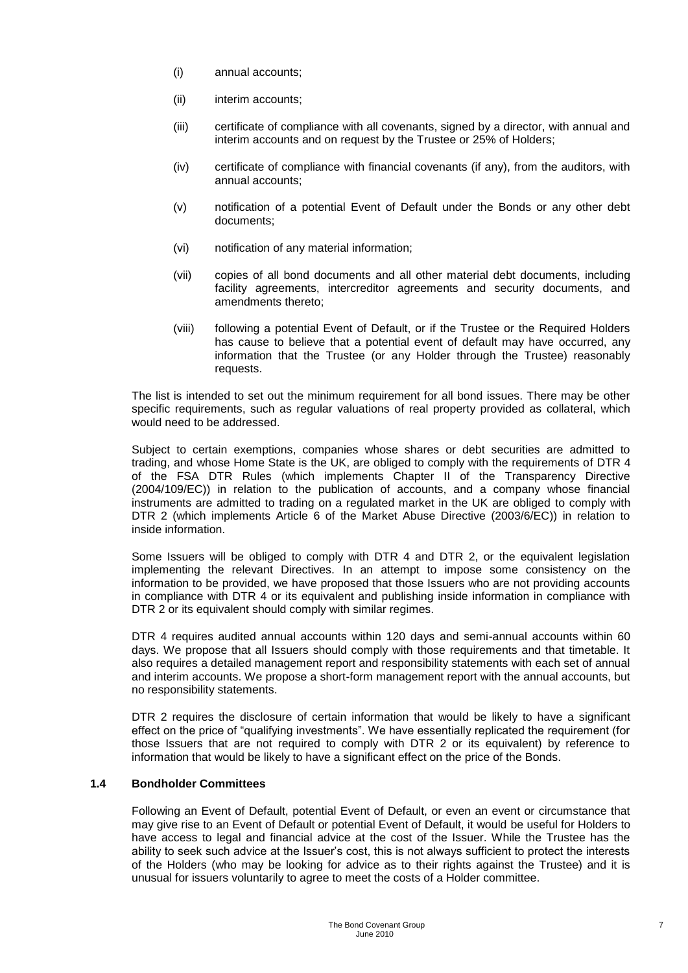- (i) annual accounts;
- (ii) interim accounts:
- (iii) certificate of compliance with all covenants, signed by a director, with annual and interim accounts and on request by the Trustee or 25% of Holders;
- (iv) certificate of compliance with financial covenants (if any), from the auditors, with annual accounts;
- (v) notification of a potential Event of Default under the Bonds or any other debt documents;
- (vi) notification of any material information;
- (vii) copies of all bond documents and all other material debt documents, including facility agreements, intercreditor agreements and security documents, and amendments thereto;
- (viii) following a potential Event of Default, or if the Trustee or the Required Holders has cause to believe that a potential event of default may have occurred, any information that the Trustee (or any Holder through the Trustee) reasonably requests.

The list is intended to set out the minimum requirement for all bond issues. There may be other specific requirements, such as regular valuations of real property provided as collateral, which would need to be addressed.

Subject to certain exemptions, companies whose shares or debt securities are admitted to trading, and whose Home State is the UK, are obliged to comply with the requirements of DTR 4 of the FSA DTR Rules (which implements Chapter II of the Transparency Directive (2004/109/EC)) in relation to the publication of accounts, and a company whose financial instruments are admitted to trading on a regulated market in the UK are obliged to comply with DTR 2 (which implements Article 6 of the Market Abuse Directive (2003/6/EC)) in relation to inside information.

Some Issuers will be obliged to comply with DTR 4 and DTR 2, or the equivalent legislation implementing the relevant Directives. In an attempt to impose some consistency on the information to be provided, we have proposed that those Issuers who are not providing accounts in compliance with DTR 4 or its equivalent and publishing inside information in compliance with DTR 2 or its equivalent should comply with similar regimes.

DTR 4 requires audited annual accounts within 120 days and semi-annual accounts within 60 days. We propose that all Issuers should comply with those requirements and that timetable. It also requires a detailed management report and responsibility statements with each set of annual and interim accounts. We propose a short-form management report with the annual accounts, but no responsibility statements.

DTR 2 requires the disclosure of certain information that would be likely to have a significant effect on the price of "qualifying investments". We have essentially replicated the requirement (for those Issuers that are not required to comply with DTR 2 or its equivalent) by reference to information that would be likely to have a significant effect on the price of the Bonds.

#### **1.4 Bondholder Committees**

Following an Event of Default, potential Event of Default, or even an event or circumstance that may give rise to an Event of Default or potential Event of Default, it would be useful for Holders to have access to legal and financial advice at the cost of the Issuer. While the Trustee has the ability to seek such advice at the Issuer's cost, this is not always sufficient to protect the interests of the Holders (who may be looking for advice as to their rights against the Trustee) and it is unusual for issuers voluntarily to agree to meet the costs of a Holder committee.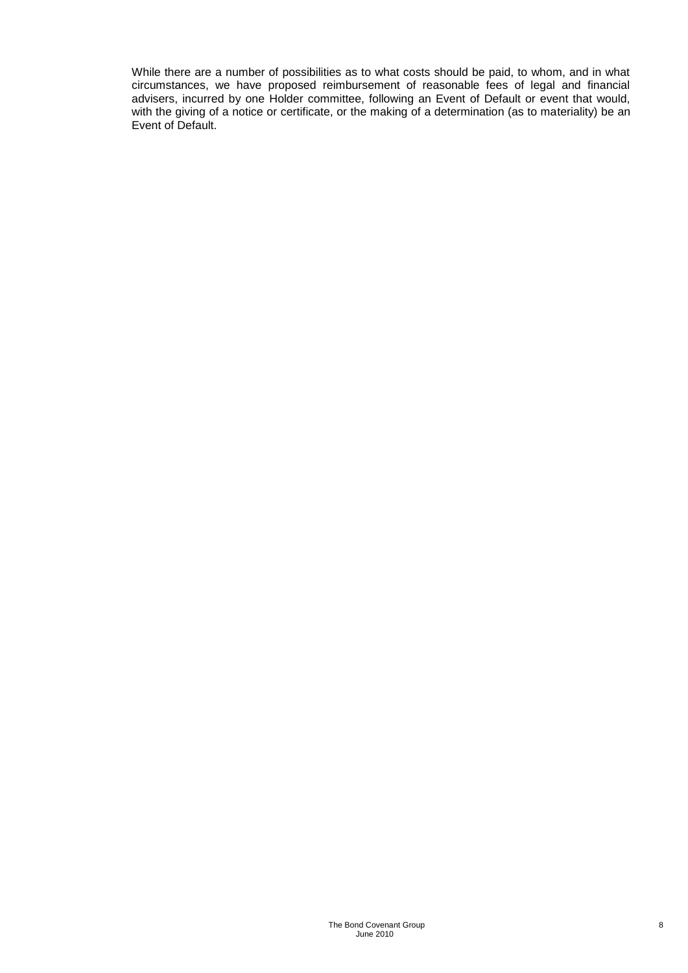While there are a number of possibilities as to what costs should be paid, to whom, and in what circumstances, we have proposed reimbursement of reasonable fees of legal and financial advisers, incurred by one Holder committee, following an Event of Default or event that would, with the giving of a notice or certificate, or the making of a determination (as to materiality) be an Event of Default.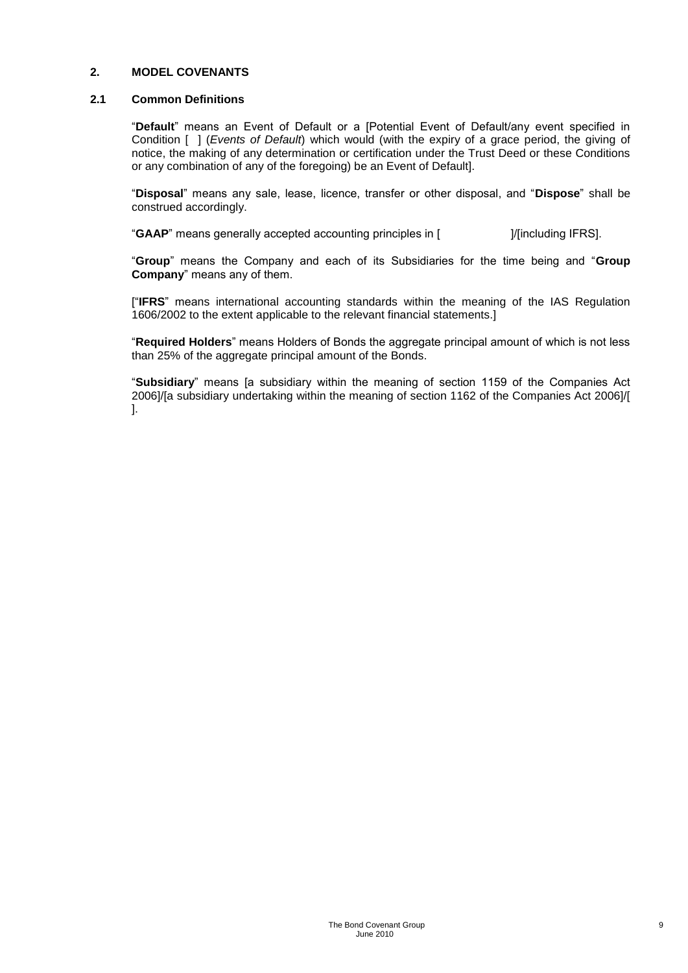#### **2. MODEL COVENANTS**

#### **2.1 Common Definitions**

"**Default**" means an Event of Default or a [Potential Event of Default/any event specified in Condition [ ] (*Events of Default*) which would (with the expiry of a grace period, the giving of notice, the making of any determination or certification under the Trust Deed or these Conditions or any combination of any of the foregoing) be an Event of Default].

"**Disposal**" means any sale, lease, licence, transfer or other disposal, and "**Dispose**" shall be construed accordingly.

"**GAAP**" means generally accepted accounting principles in [ ]/[including IFRS].

"**Group**" means the Company and each of its Subsidiaries for the time being and "**Group Company**" means any of them.

["**IFRS**" means international accounting standards within the meaning of the IAS Regulation 1606/2002 to the extent applicable to the relevant financial statements.]

"**Required Holders**" means Holders of Bonds the aggregate principal amount of which is not less than 25% of the aggregate principal amount of the Bonds.

"**Subsidiary**" means [a subsidiary within the meaning of section 1159 of the Companies Act 2006]/[a subsidiary undertaking within the meaning of section 1162 of the Companies Act 2006]/[ ].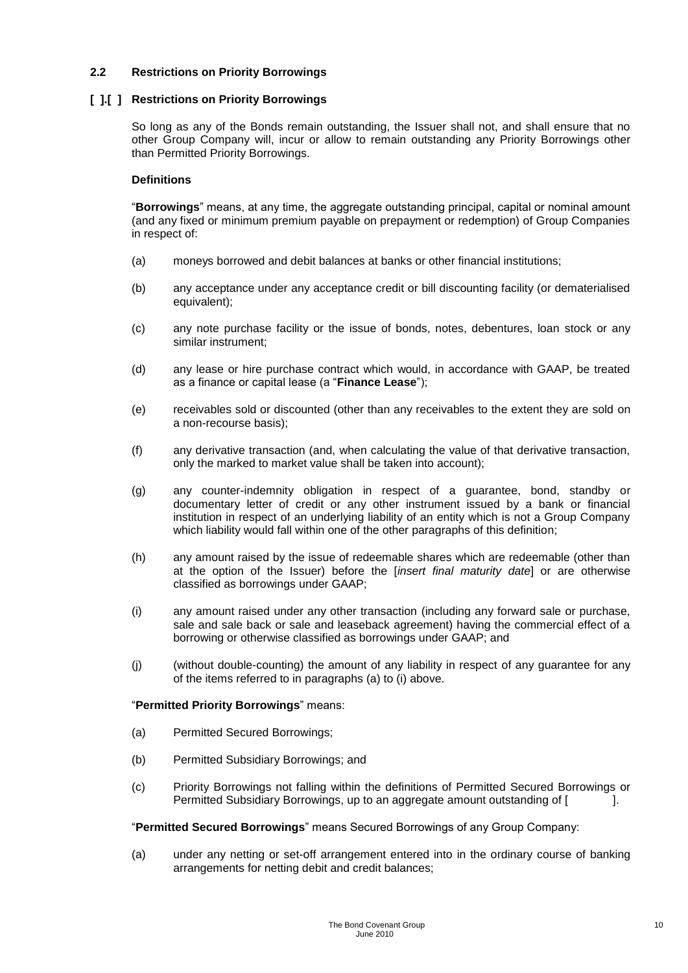#### **2.2 Restrictions on Priority Borrowings**

#### **[ ].[ ] Restrictions on Priority Borrowings**

So long as any of the Bonds remain outstanding, the Issuer shall not, and shall ensure that no other Group Company will, incur or allow to remain outstanding any Priority Borrowings other than Permitted Priority Borrowings.

#### **Definitions**

"**Borrowings**" means, at any time, the aggregate outstanding principal, capital or nominal amount (and any fixed or minimum premium payable on prepayment or redemption) of Group Companies in respect of:

- (a) moneys borrowed and debit balances at banks or other financial institutions;
- (b) any acceptance under any acceptance credit or bill discounting facility (or dematerialised equivalent):
- (c) any note purchase facility or the issue of bonds, notes, debentures, loan stock or any similar instrument;
- (d) any lease or hire purchase contract which would, in accordance with GAAP, be treated as a finance or capital lease (a "**Finance Lease**");
- (e) receivables sold or discounted (other than any receivables to the extent they are sold on a non-recourse basis);
- (f) any derivative transaction (and, when calculating the value of that derivative transaction, only the marked to market value shall be taken into account);
- (g) any counter-indemnity obligation in respect of a guarantee, bond, standby or documentary letter of credit or any other instrument issued by a bank or financial institution in respect of an underlying liability of an entity which is not a Group Company which liability would fall within one of the other paragraphs of this definition;
- (h) any amount raised by the issue of redeemable shares which are redeemable (other than at the option of the Issuer) before the [*insert final maturity date*] or are otherwise classified as borrowings under GAAP;
- (i) any amount raised under any other transaction (including any forward sale or purchase, sale and sale back or sale and leaseback agreement) having the commercial effect of a borrowing or otherwise classified as borrowings under GAAP; and
- (j) (without double-counting) the amount of any liability in respect of any guarantee for any of the items referred to in paragraphs (a) to (i) above.

#### "**Permitted Priority Borrowings**" means:

- (a) Permitted Secured Borrowings;
- (b) Permitted Subsidiary Borrowings; and
- (c) Priority Borrowings not falling within the definitions of Permitted Secured Borrowings or Permitted Subsidiary Borrowings, up to an aggregate amount outstanding of [1.4.1].

#### "**Permitted Secured Borrowings**" means Secured Borrowings of any Group Company:

(a) under any netting or set-off arrangement entered into in the ordinary course of banking arrangements for netting debit and credit balances;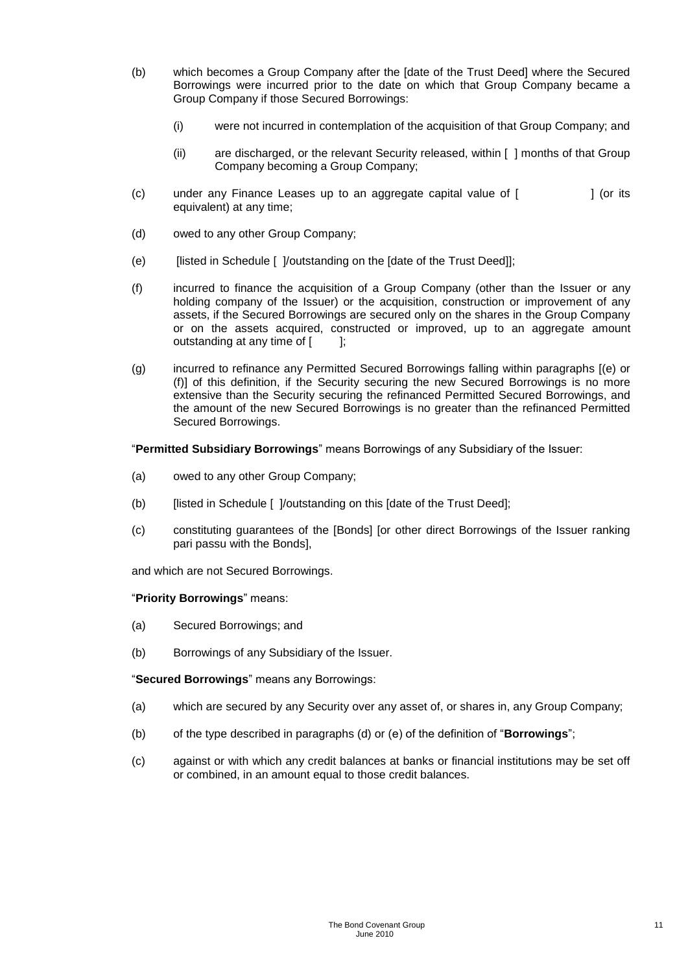- (b) which becomes a Group Company after the [date of the Trust Deed] where the Secured Borrowings were incurred prior to the date on which that Group Company became a Group Company if those Secured Borrowings:
	- (i) were not incurred in contemplation of the acquisition of that Group Company; and
	- (ii) are discharged, or the relevant Security released, within [ ] months of that Group Company becoming a Group Company;
- (c) under any Finance Leases up to an aggregate capital value of [ ] (or its equivalent) at any time;
- (d) owed to any other Group Company;
- (e) [listed in Schedule [ ]/outstanding on the [date of the Trust Deed]];
- (f) incurred to finance the acquisition of a Group Company (other than the Issuer or any holding company of the Issuer) or the acquisition, construction or improvement of any assets, if the Secured Borrowings are secured only on the shares in the Group Company or on the assets acquired, constructed or improved, up to an aggregate amount outstanding at any time of  $[$   $]$ ;
- (g) incurred to refinance any Permitted Secured Borrowings falling within paragraphs [(e) or (f)] of this definition, if the Security securing the new Secured Borrowings is no more extensive than the Security securing the refinanced Permitted Secured Borrowings, and the amount of the new Secured Borrowings is no greater than the refinanced Permitted Secured Borrowings.

"**Permitted Subsidiary Borrowings**" means Borrowings of any Subsidiary of the Issuer:

- (a) owed to any other Group Company;
- (b) [listed in Schedule [ ]/outstanding on this [date of the Trust Deed];
- (c) constituting guarantees of the [Bonds] [or other direct Borrowings of the Issuer ranking pari passu with the Bonds],

and which are not Secured Borrowings.

#### "**Priority Borrowings**" means:

- (a) Secured Borrowings; and
- (b) Borrowings of any Subsidiary of the Issuer.

"**Secured Borrowings**" means any Borrowings:

- (a) which are secured by any Security over any asset of, or shares in, any Group Company;
- (b) of the type described in paragraphs (d) or (e) of the definition of "**Borrowings**";
- (c) against or with which any credit balances at banks or financial institutions may be set off or combined, in an amount equal to those credit balances.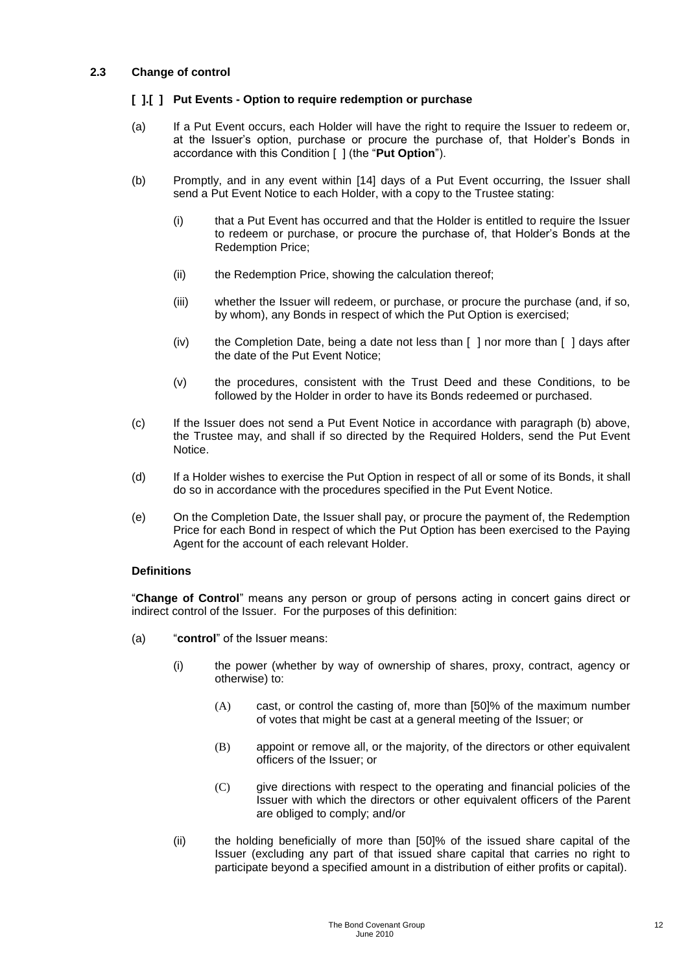#### **2.3 Change of control**

#### **[ ].[ ] Put Events - Option to require redemption or purchase**

- (a) If a Put Event occurs, each Holder will have the right to require the Issuer to redeem or, at the Issuer's option, purchase or procure the purchase of, that Holder's Bonds in accordance with this Condition [ ] (the "**Put Option**").
- (b) Promptly, and in any event within [14] days of a Put Event occurring, the Issuer shall send a Put Event Notice to each Holder, with a copy to the Trustee stating:
	- (i) that a Put Event has occurred and that the Holder is entitled to require the Issuer to redeem or purchase, or procure the purchase of, that Holder's Bonds at the Redemption Price;
	- (ii) the Redemption Price, showing the calculation thereof:
	- (iii) whether the Issuer will redeem, or purchase, or procure the purchase (and, if so, by whom), any Bonds in respect of which the Put Option is exercised;
	- (iv) the Completion Date, being a date not less than [ ] nor more than [ ] days after the date of the Put Event Notice;
	- (v) the procedures, consistent with the Trust Deed and these Conditions, to be followed by the Holder in order to have its Bonds redeemed or purchased.
- (c) If the Issuer does not send a Put Event Notice in accordance with paragraph (b) above, the Trustee may, and shall if so directed by the Required Holders, send the Put Event Notice.
- (d) If a Holder wishes to exercise the Put Option in respect of all or some of its Bonds, it shall do so in accordance with the procedures specified in the Put Event Notice.
- (e) On the Completion Date, the Issuer shall pay, or procure the payment of, the Redemption Price for each Bond in respect of which the Put Option has been exercised to the Paying Agent for the account of each relevant Holder.

#### **Definitions**

"**Change of Control**" means any person or group of persons acting in concert gains direct or indirect control of the Issuer. For the purposes of this definition:

- (a) "**control**" of the Issuer means:
	- (i) the power (whether by way of ownership of shares, proxy, contract, agency or otherwise) to:
		- (A) cast, or control the casting of, more than [50]% of the maximum number of votes that might be cast at a general meeting of the Issuer; or
		- (B) appoint or remove all, or the majority, of the directors or other equivalent officers of the Issuer; or
		- (C) give directions with respect to the operating and financial policies of the Issuer with which the directors or other equivalent officers of the Parent are obliged to comply; and/or
	- (ii) the holding beneficially of more than [50]% of the issued share capital of the Issuer (excluding any part of that issued share capital that carries no right to participate beyond a specified amount in a distribution of either profits or capital).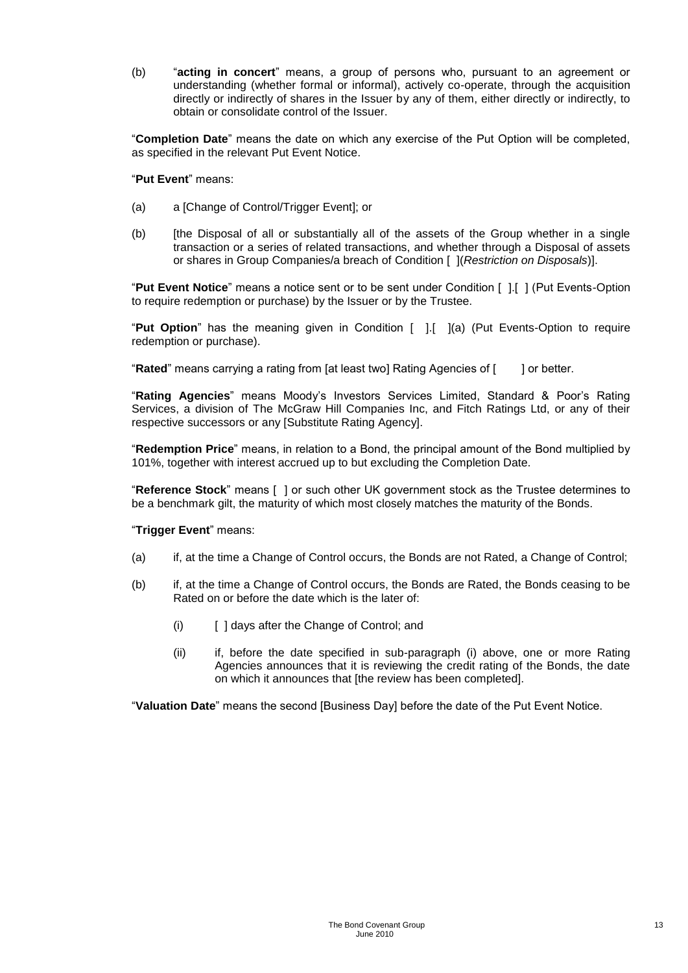(b) "**acting in concert**" means, a group of persons who, pursuant to an agreement or understanding (whether formal or informal), actively co-operate, through the acquisition directly or indirectly of shares in the Issuer by any of them, either directly or indirectly, to obtain or consolidate control of the Issuer.

"**Completion Date**" means the date on which any exercise of the Put Option will be completed, as specified in the relevant Put Event Notice.

"**Put Event**" means:

- (a) a [Change of Control/Trigger Event]; or
- (b) [the Disposal of all or substantially all of the assets of the Group whether in a single transaction or a series of related transactions, and whether through a Disposal of assets or shares in Group Companies/a breach of Condition [ ](*Restriction on Disposals*)].

"**Put Event Notice**" means a notice sent or to be sent under Condition [ ].[ ] (Put Events-Option to require redemption or purchase) by the Issuer or by the Trustee.

"**Put Option**" has the meaning given in Condition [ ].[ ](a) (Put Events-Option to require redemption or purchase).

"**Rated**" means carrying a rating from [at least two] Rating Agencies of [ ] or better.

"**Rating Agencies**" means Moody's Investors Services Limited, Standard & Poor's Rating Services, a division of The McGraw Hill Companies Inc, and Fitch Ratings Ltd, or any of their respective successors or any [Substitute Rating Agency].

"**Redemption Price**" means, in relation to a Bond, the principal amount of the Bond multiplied by 101%, together with interest accrued up to but excluding the Completion Date.

"**Reference Stock**" means [ ] or such other UK government stock as the Trustee determines to be a benchmark gilt, the maturity of which most closely matches the maturity of the Bonds.

#### "**Trigger Event**" means:

- (a) if, at the time a Change of Control occurs, the Bonds are not Rated, a Change of Control;
- (b) if, at the time a Change of Control occurs, the Bonds are Rated, the Bonds ceasing to be Rated on or before the date which is the later of:
	- (i) [ ] days after the Change of Control; and
	- (ii) if, before the date specified in sub-paragraph (i) above, one or more Rating Agencies announces that it is reviewing the credit rating of the Bonds, the date on which it announces that [the review has been completed].

"**Valuation Date**" means the second [Business Day] before the date of the Put Event Notice.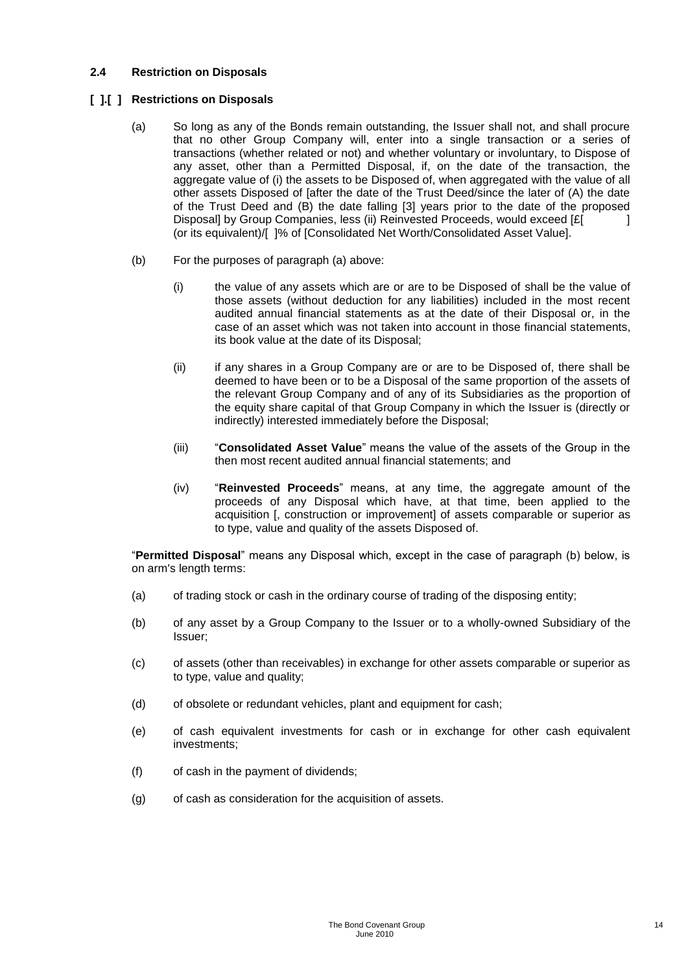#### **2.4 Restriction on Disposals**

#### **[ ].[ ] Restrictions on Disposals**

- (a) So long as any of the Bonds remain outstanding, the Issuer shall not, and shall procure that no other Group Company will, enter into a single transaction or a series of transactions (whether related or not) and whether voluntary or involuntary, to Dispose of any asset, other than a Permitted Disposal, if, on the date of the transaction, the aggregate value of (i) the assets to be Disposed of, when aggregated with the value of all other assets Disposed of [after the date of the Trust Deed/since the later of (A) the date of the Trust Deed and (B) the date falling [3] years prior to the date of the proposed Disposal] by Group Companies, less (ii) Reinvested Proceeds, would exceed [£] (or its equivalent)/[ ]% of [Consolidated Net Worth/Consolidated Asset Value].
- (b) For the purposes of paragraph (a) above:
	- (i) the value of any assets which are or are to be Disposed of shall be the value of those assets (without deduction for any liabilities) included in the most recent audited annual financial statements as at the date of their Disposal or, in the case of an asset which was not taken into account in those financial statements, its book value at the date of its Disposal;
	- (ii) if any shares in a Group Company are or are to be Disposed of, there shall be deemed to have been or to be a Disposal of the same proportion of the assets of the relevant Group Company and of any of its Subsidiaries as the proportion of the equity share capital of that Group Company in which the Issuer is (directly or indirectly) interested immediately before the Disposal;
	- (iii) "**Consolidated Asset Value**" means the value of the assets of the Group in the then most recent audited annual financial statements; and
	- (iv) "**Reinvested Proceeds**" means, at any time, the aggregate amount of the proceeds of any Disposal which have, at that time, been applied to the acquisition [, construction or improvement] of assets comparable or superior as to type, value and quality of the assets Disposed of.

"**Permitted Disposal**" means any Disposal which, except in the case of paragraph (b) below, is on arm's length terms:

- (a) of trading stock or cash in the ordinary course of trading of the disposing entity;
- (b) of any asset by a Group Company to the Issuer or to a wholly-owned Subsidiary of the Issuer;
- (c) of assets (other than receivables) in exchange for other assets comparable or superior as to type, value and quality;
- (d) of obsolete or redundant vehicles, plant and equipment for cash;
- (e) of cash equivalent investments for cash or in exchange for other cash equivalent investments;
- (f) of cash in the payment of dividends;
- (g) of cash as consideration for the acquisition of assets.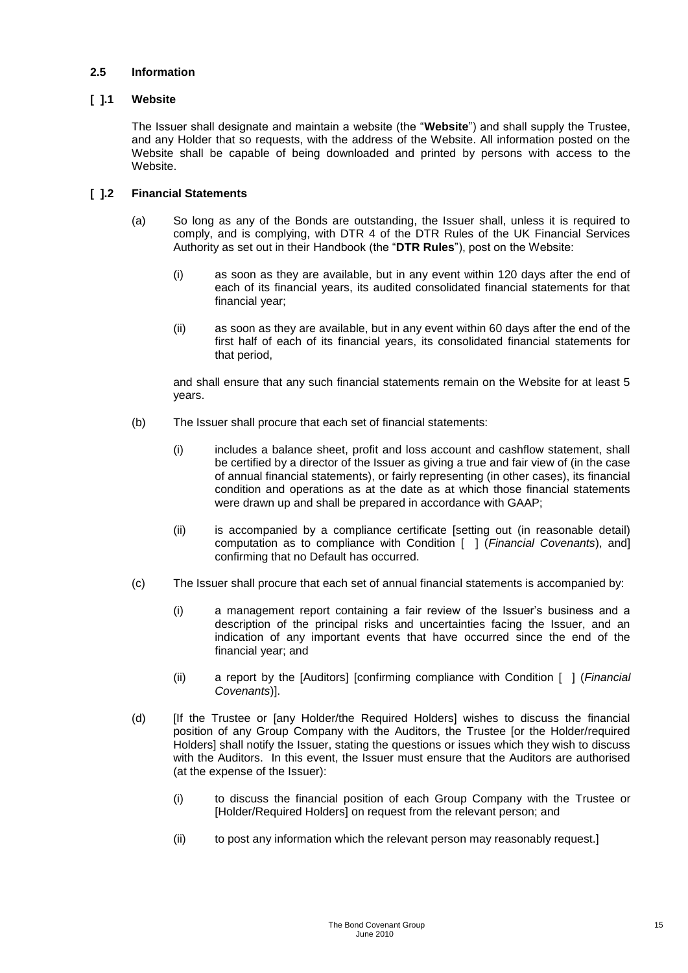#### **2.5 Information**

#### **[ ].1 Website**

The Issuer shall designate and maintain a website (the "**Website**") and shall supply the Trustee, and any Holder that so requests, with the address of the Website. All information posted on the Website shall be capable of being downloaded and printed by persons with access to the Website.

#### **[ ].2 Financial Statements**

- (a) So long as any of the Bonds are outstanding, the Issuer shall, unless it is required to comply, and is complying, with DTR 4 of the DTR Rules of the UK Financial Services Authority as set out in their Handbook (the "**DTR Rules**"), post on the Website:
	- (i) as soon as they are available, but in any event within 120 days after the end of each of its financial years, its audited consolidated financial statements for that financial year;
	- (ii) as soon as they are available, but in any event within 60 days after the end of the first half of each of its financial years, its consolidated financial statements for that period,

and shall ensure that any such financial statements remain on the Website for at least 5 years.

- (b) The Issuer shall procure that each set of financial statements:
	- (i) includes a balance sheet, profit and loss account and cashflow statement, shall be certified by a director of the Issuer as giving a true and fair view of (in the case of annual financial statements), or fairly representing (in other cases), its financial condition and operations as at the date as at which those financial statements were drawn up and shall be prepared in accordance with GAAP;
	- (ii) is accompanied by a compliance certificate [setting out (in reasonable detail) computation as to compliance with Condition [ ] (*Financial Covenants*), and] confirming that no Default has occurred.
- (c) The Issuer shall procure that each set of annual financial statements is accompanied by:
	- (i) a management report containing a fair review of the Issuer's business and a description of the principal risks and uncertainties facing the Issuer, and an indication of any important events that have occurred since the end of the financial year; and
	- (ii) a report by the [Auditors] [confirming compliance with Condition [ ] (*Financial Covenants*)].
- (d) [If the Trustee or [any Holder/the Required Holders] wishes to discuss the financial position of any Group Company with the Auditors, the Trustee [or the Holder/required Holders] shall notify the Issuer, stating the questions or issues which they wish to discuss with the Auditors. In this event, the Issuer must ensure that the Auditors are authorised (at the expense of the Issuer):
	- (i) to discuss the financial position of each Group Company with the Trustee or [Holder/Required Holders] on request from the relevant person; and
	- (ii) to post any information which the relevant person may reasonably request.]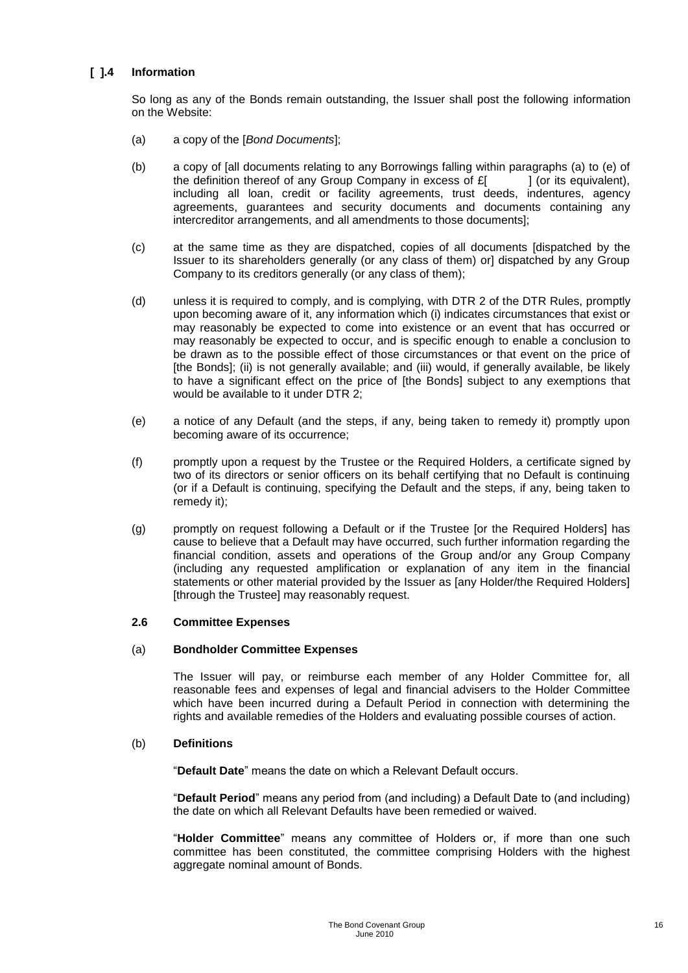#### **[ ].4 Information**

So long as any of the Bonds remain outstanding, the Issuer shall post the following information on the Website:

- (a) a copy of the [*Bond Documents*];
- (b) a copy of [all documents relating to any Borrowings falling within paragraphs (a) to (e) of the definition thereof of any Group Company in excess of  $E$   $|$  (or its equivalent), including all loan, credit or facility agreements, trust deeds, indentures, agency agreements, guarantees and security documents and documents containing any intercreditor arrangements, and all amendments to those documents];
- (c) at the same time as they are dispatched, copies of all documents [dispatched by the Issuer to its shareholders generally (or any class of them) orl dispatched by any Group Company to its creditors generally (or any class of them);
- (d) unless it is required to comply, and is complying, with DTR 2 of the DTR Rules, promptly upon becoming aware of it, any information which (i) indicates circumstances that exist or may reasonably be expected to come into existence or an event that has occurred or may reasonably be expected to occur, and is specific enough to enable a conclusion to be drawn as to the possible effect of those circumstances or that event on the price of [the Bonds]; (ii) is not generally available; and (iii) would, if generally available, be likely to have a significant effect on the price of [the Bonds] subject to any exemptions that would be available to it under DTR 2;
- (e) a notice of any Default (and the steps, if any, being taken to remedy it) promptly upon becoming aware of its occurrence;
- (f) promptly upon a request by the Trustee or the Required Holders, a certificate signed by two of its directors or senior officers on its behalf certifying that no Default is continuing (or if a Default is continuing, specifying the Default and the steps, if any, being taken to remedy it);
- (g) promptly on request following a Default or if the Trustee [or the Required Holders] has cause to believe that a Default may have occurred, such further information regarding the financial condition, assets and operations of the Group and/or any Group Company (including any requested amplification or explanation of any item in the financial statements or other material provided by the Issuer as [any Holder/the Required Holders] [through the Trustee] may reasonably request.

#### **2.6 Committee Expenses**

#### (a) **Bondholder Committee Expenses**

The Issuer will pay, or reimburse each member of any Holder Committee for, all reasonable fees and expenses of legal and financial advisers to the Holder Committee which have been incurred during a Default Period in connection with determining the rights and available remedies of the Holders and evaluating possible courses of action.

#### (b) **Definitions**

"**Default Date**" means the date on which a Relevant Default occurs.

"**Default Period**" means any period from (and including) a Default Date to (and including) the date on which all Relevant Defaults have been remedied or waived.

"**Holder Committee**" means any committee of Holders or, if more than one such committee has been constituted, the committee comprising Holders with the highest aggregate nominal amount of Bonds.